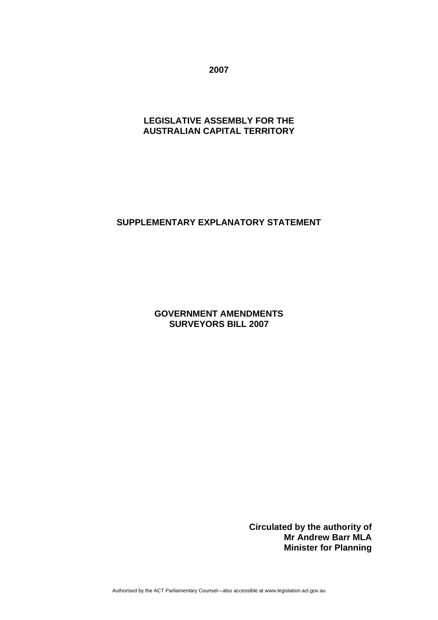**2007** 

# **LEGISLATIVE ASSEMBLY FOR THE AUSTRALIAN CAPITAL TERRITORY**

## **SUPPLEMENTARY EXPLANATORY STATEMENT**

**GOVERNMENT AMENDMENTS SURVEYORS BILL 2007** 

> **Circulated by the authority of Mr Andrew Barr MLA Minister for Planning**

Authorised by the ACT Parliamentary Counsel—also accessible at www.legislation.act.gov.au